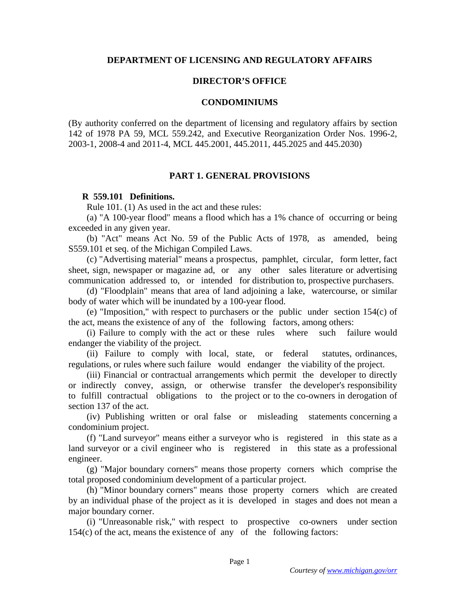# **DEPARTMENT OF LICENSING AND REGULATORY AFFAIRS**

### **DIRECTOR'S OFFICE**

#### **CONDOMINIUMS**

(By authority conferred on the department of licensing and regulatory affairs by section 142 of 1978 PA 59, MCL 559.242, and Executive Reorganization Order Nos. 1996-2, 2003-1, 2008-4 and 2011-4, MCL 445.2001, 445.2011, 445.2025 and 445.2030)

# **PART 1. GENERAL PROVISIONS**

# **R 559.101 Definitions.**

Rule 101. (1) As used in the act and these rules:

 (a) "A 100-year flood" means a flood which has a 1% chance of occurring or being exceeded in any given year.

 (b) "Act" means Act No. 59 of the Public Acts of 1978, as amended, being S559.101 et seq. of the Michigan Compiled Laws.

 (c) "Advertising material" means a prospectus, pamphlet, circular, form letter, fact sheet, sign, newspaper or magazine ad, or any other sales literature or advertising communication addressed to, or intended for distribution to, prospective purchasers.

 (d) "Floodplain" means that area of land adjoining a lake, watercourse, or similar body of water which will be inundated by a 100-year flood.

 (e) "Imposition," with respect to purchasers or the public under section 154(c) of the act, means the existence of any of the following factors, among others:

 (i) Failure to comply with the act or these rules where such failure would endanger the viability of the project.

 (ii) Failure to comply with local, state, or federal statutes, ordinances, regulations, or rules where such failure would endanger the viability of the project.

 (iii) Financial or contractual arrangements which permit the developer to directly or indirectly convey, assign, or otherwise transfer the developer's responsibility to fulfill contractual obligations to the project or to the co-owners in derogation of section 137 of the act.

 (iv) Publishing written or oral false or misleading statements concerning a condominium project.

 (f) "Land surveyor" means either a surveyor who is registered in this state as a land surveyor or a civil engineer who is registered in this state as a professional engineer.

 (g) "Major boundary corners" means those property corners which comprise the total proposed condominium development of a particular project.

 (h) "Minor boundary corners" means those property corners which are created by an individual phase of the project as it is developed in stages and does not mean a major boundary corner.

 (i) "Unreasonable risk," with respect to prospective co-owners under section 154(c) of the act, means the existence of any of the following factors: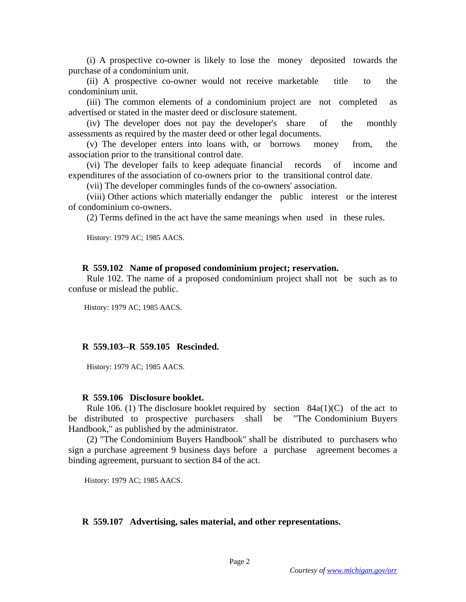(i) A prospective co-owner is likely to lose the money deposited towards the purchase of a condominium unit.

 (ii) A prospective co-owner would not receive marketable title to the condominium unit.

 (iii) The common elements of a condominium project are not completed as advertised or stated in the master deed or disclosure statement.

 (iv) The developer does not pay the developer's share of the monthly assessments as required by the master deed or other legal documents.

 (v) The developer enters into loans with, or borrows money from, the association prior to the transitional control date.

 (vi) The developer fails to keep adequate financial records of income and expenditures of the association of co-owners prior to the transitional control date.

(vii) The developer commingles funds of the co-owners' association.

 (viii) Other actions which materially endanger the public interest or the interest of condominium co-owners.

(2) Terms defined in the act have the same meanings when used in these rules.

History: 1979 AC; 1985 AACS.

#### **R 559.102 Name of proposed condominium project; reservation.**

 Rule 102. The name of a proposed condominium project shall not be such as to confuse or mislead the public.

History: 1979 AC; 1985 AACS.

#### **R 559.103--R 559.105 Rescinded.**

History: 1979 AC; 1985 AACS.

#### **R 559.106 Disclosure booklet.**

Rule 106. (1) The disclosure booklet required by section  $84a(1)(C)$  of the act to be distributed to prospective purchasers shall be "The Condominium Buyers Handbook," as published by the administrator.

 (2) "The Condominium Buyers Handbook" shall be distributed to purchasers who sign a purchase agreement 9 business days before a purchase agreement becomes a binding agreement, pursuant to section 84 of the act.

History: 1979 AC; 1985 AACS.

#### **R 559.107 Advertising, sales material, and other representations.**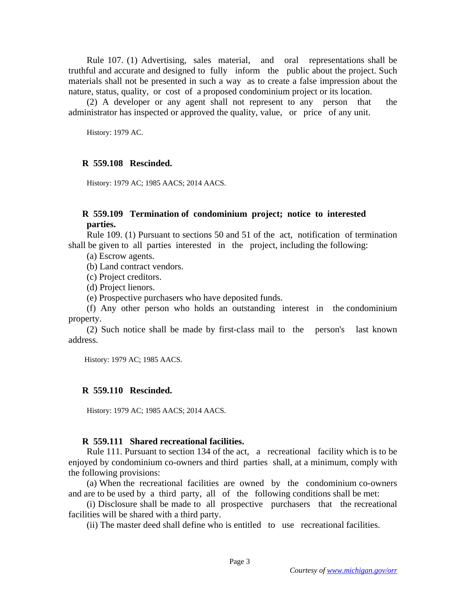Rule 107. (1) Advertising, sales material, and oral representations shall be truthful and accurate and designed to fully inform the public about the project. Such materials shall not be presented in such a way as to create a false impression about the nature, status, quality, or cost of a proposed condominium project or its location.

 (2) A developer or any agent shall not represent to any person that the administrator has inspected or approved the quality, value, or price of any unit.

History: 1979 AC.

# **R 559.108 Rescinded.**

History: 1979 AC; 1985 AACS; 2014 AACS.

# **R 559.109 Termination of condominium project; notice to interested parties.**

 Rule 109. (1) Pursuant to sections 50 and 51 of the act, notification of termination shall be given to all parties interested in the project, including the following:

(a) Escrow agents.

(b) Land contract vendors.

(c) Project creditors.

(d) Project lienors.

(e) Prospective purchasers who have deposited funds.

 (f) Any other person who holds an outstanding interest in the condominium property.

 (2) Such notice shall be made by first-class mail to the person's last known address.

History: 1979 AC; 1985 AACS.

# **R 559.110 Rescinded.**

History: 1979 AC; 1985 AACS; 2014 AACS.

#### **R 559.111 Shared recreational facilities.**

 Rule 111. Pursuant to section 134 of the act, a recreational facility which is to be enjoyed by condominium co-owners and third parties shall, at a minimum, comply with the following provisions:

 (a) When the recreational facilities are owned by the condominium co-owners and are to be used by a third party, all of the following conditions shall be met:

 (i) Disclosure shall be made to all prospective purchasers that the recreational facilities will be shared with a third party.

(ii) The master deed shall define who is entitled to use recreational facilities.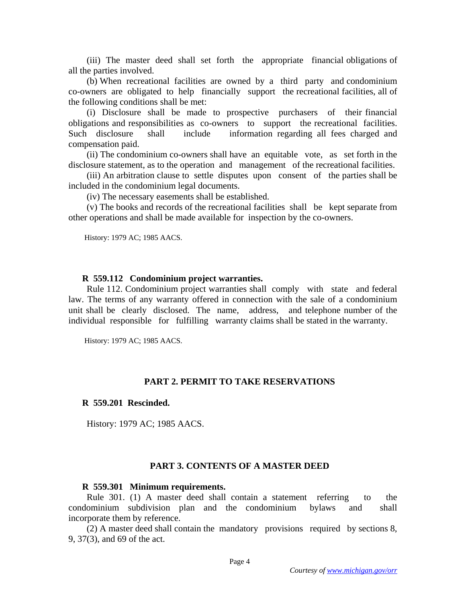(iii) The master deed shall set forth the appropriate financial obligations of all the parties involved.

 (b) When recreational facilities are owned by a third party and condominium co-owners are obligated to help financially support the recreational facilities, all of the following conditions shall be met:

 (i) Disclosure shall be made to prospective purchasers of their financial obligations and responsibilities as co-owners to support the recreational facilities. Such disclosure shall include information regarding all fees charged and compensation paid.

 (ii) The condominium co-owners shall have an equitable vote, as set forth in the disclosure statement, as to the operation and management of the recreational facilities.

 (iii) An arbitration clause to settle disputes upon consent of the parties shall be included in the condominium legal documents.

(iv) The necessary easements shall be established.

 (v) The books and records of the recreational facilities shall be kept separate from other operations and shall be made available for inspection by the co-owners.

History: 1979 AC; 1985 AACS.

#### **R 559.112 Condominium project warranties.**

 Rule 112. Condominium project warranties shall comply with state and federal law. The terms of any warranty offered in connection with the sale of a condominium unit shall be clearly disclosed. The name, address, and telephone number of the individual responsible for fulfilling warranty claims shall be stated in the warranty.

History: 1979 AC; 1985 AACS.

### **PART 2. PERMIT TO TAKE RESERVATIONS**

# **R 559.201 Rescinded.**

History: 1979 AC; 1985 AACS.

# **PART 3. CONTENTS OF A MASTER DEED**

#### **R 559.301 Minimum requirements.**

 Rule 301. (1) A master deed shall contain a statement referring to the condominium subdivision plan and the condominium bylaws and shall incorporate them by reference.

 (2) A master deed shall contain the mandatory provisions required by sections 8, 9, 37(3), and 69 of the act.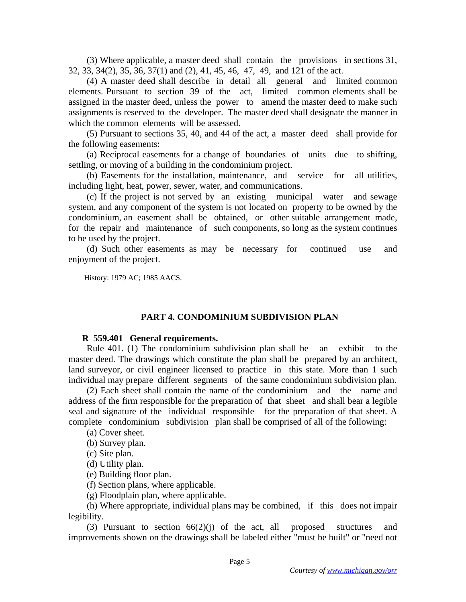(3) Where applicable, a master deed shall contain the provisions in sections 31, 32, 33, 34(2), 35, 36, 37(1) and (2), 41, 45, 46, 47, 49, and 121 of the act.

 (4) A master deed shall describe in detail all general and limited common elements. Pursuant to section 39 of the act, limited common elements shall be assigned in the master deed, unless the power to amend the master deed to make such assignments is reserved to the developer. The master deed shall designate the manner in which the common elements will be assessed.

 (5) Pursuant to sections 35, 40, and 44 of the act, a master deed shall provide for the following easements:

 (a) Reciprocal easements for a change of boundaries of units due to shifting, settling, or moving of a building in the condominium project.

 (b) Easements for the installation, maintenance, and service for all utilities, including light, heat, power, sewer, water, and communications.

 (c) If the project is not served by an existing municipal water and sewage system, and any component of the system is not located on property to be owned by the condominium, an easement shall be obtained, or other suitable arrangement made, for the repair and maintenance of such components, so long as the system continues to be used by the project.

 (d) Such other easements as may be necessary for continued use and enjoyment of the project.

History: 1979 AC; 1985 AACS.

#### **PART 4. CONDOMINIUM SUBDIVISION PLAN**

#### **R 559.401 General requirements.**

 Rule 401. (1) The condominium subdivision plan shall be an exhibit to the master deed. The drawings which constitute the plan shall be prepared by an architect, land surveyor, or civil engineer licensed to practice in this state. More than 1 such individual may prepare different segments of the same condominium subdivision plan.

 (2) Each sheet shall contain the name of the condominium and the name and address of the firm responsible for the preparation of that sheet and shall bear a legible seal and signature of the individual responsible for the preparation of that sheet. A complete condominium subdivision plan shall be comprised of all of the following:

(a) Cover sheet.

(b) Survey plan.

(c) Site plan.

(d) Utility plan.

(e) Building floor plan.

(f) Section plans, where applicable.

(g) Floodplain plan, where applicable.

 (h) Where appropriate, individual plans may be combined, if this does not impair legibility.

 (3) Pursuant to section 66(2)(j) of the act, all proposed structures and improvements shown on the drawings shall be labeled either "must be built" or "need not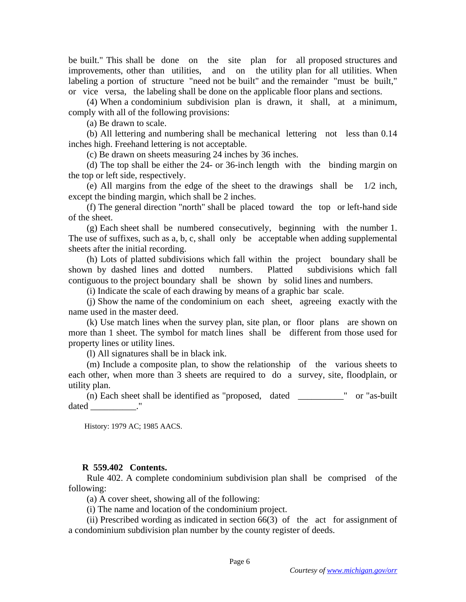be built." This shall be done on the site plan for all proposed structures and improvements, other than utilities, and on the utility plan for all utilities. When labeling a portion of structure "need not be built" and the remainder "must be built," or vice versa, the labeling shall be done on the applicable floor plans and sections.

 (4) When a condominium subdivision plan is drawn, it shall, at a minimum, comply with all of the following provisions:

(a) Be drawn to scale.

 (b) All lettering and numbering shall be mechanical lettering not less than 0.14 inches high. Freehand lettering is not acceptable.

(c) Be drawn on sheets measuring 24 inches by 36 inches.

 (d) The top shall be either the 24- or 36-inch length with the binding margin on the top or left side, respectively.

 (e) All margins from the edge of the sheet to the drawings shall be 1/2 inch, except the binding margin, which shall be 2 inches.

 (f) The general direction "north" shall be placed toward the top or left-hand side of the sheet.

 (g) Each sheet shall be numbered consecutively, beginning with the number 1. The use of suffixes, such as a, b, c, shall only be acceptable when adding supplemental sheets after the initial recording.

 (h) Lots of platted subdivisions which fall within the project boundary shall be shown by dashed lines and dotted numbers. Platted subdivisions which fall contiguous to the project boundary shall be shown by solid lines and numbers.

(i) Indicate the scale of each drawing by means of a graphic bar scale.

 (j) Show the name of the condominium on each sheet, agreeing exactly with the name used in the master deed.

 (k) Use match lines when the survey plan, site plan, or floor plans are shown on more than 1 sheet. The symbol for match lines shall be different from those used for property lines or utility lines.

(l) All signatures shall be in black ink.

 (m) Include a composite plan, to show the relationship of the various sheets to each other, when more than 3 sheets are required to do a survey, site, floodplain, or utility plan.

 (n) Each sheet shall be identified as "proposed, dated \_\_\_\_\_\_\_\_\_\_" or "as-built dated  $\qquad$  ."

History: 1979 AC; 1985 AACS.

#### **R 559.402 Contents.**

 Rule 402. A complete condominium subdivision plan shall be comprised of the following:

(a) A cover sheet, showing all of the following:

(i) The name and location of the condominium project.

 (ii) Prescribed wording as indicated in section 66(3) of the act for assignment of a condominium subdivision plan number by the county register of deeds.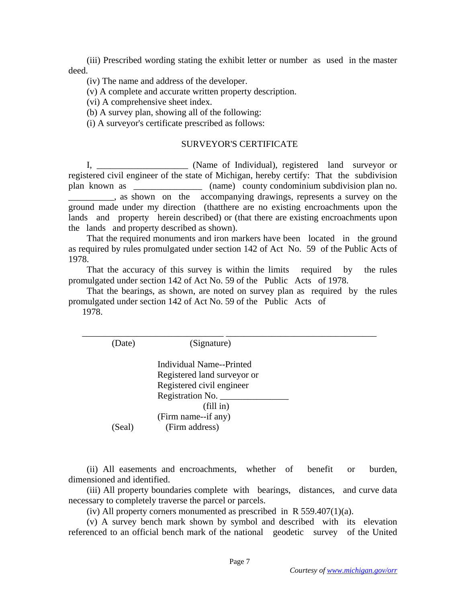(iii) Prescribed wording stating the exhibit letter or number as used in the master deed.

(iv) The name and address of the developer.

(v) A complete and accurate written property description.

(vi) A comprehensive sheet index.

(b) A survey plan, showing all of the following:

(i) A surveyor's certificate prescribed as follows:

#### SURVEYOR'S CERTIFICATE

 I, \_\_\_\_\_\_\_\_\_\_\_\_\_\_\_\_\_\_\_\_ (Name of Individual), registered land surveyor or registered civil engineer of the state of Michigan, hereby certify: That the subdivision plan known as \_\_\_\_\_\_\_\_\_\_\_\_\_\_\_ (name) county condominium subdivision plan no.  $\Box$ , as shown on the accompanying drawings, represents a survey on the ground made under my direction (thatthere are no existing encroachments upon the lands and property herein described) or (that there are existing encroachments upon the lands and property described as shown).

 That the required monuments and iron markers have been located in the ground as required by rules promulgated under section 142 of Act No. 59 of the Public Acts of 1978.

 That the accuracy of this survey is within the limits required by the rules promulgated under section 142 of Act No. 59 of the Public Acts of 1978.

 That the bearings, as shown, are noted on survey plan as required by the rules promulgated under section 142 of Act No. 59 of the Public Acts of

\_\_\_\_\_\_\_\_\_\_\_\_\_\_\_\_\_\_\_\_\_\_\_\_\_\_\_\_\_\_\_ \_\_\_\_\_\_\_\_\_\_\_\_\_\_\_\_\_\_\_\_\_\_\_\_\_\_\_\_\_\_\_\_\_

1978.

(Date) (Signature)

 Individual Name--Printed Registered land surveyor or Registered civil engineer Registration No.  $\overline{\phantom{a}}$  (fill in) (Firm name--if any) (Seal) (Firm address)

 (ii) All easements and encroachments, whether of benefit or burden, dimensioned and identified.

 (iii) All property boundaries complete with bearings, distances, and curve data necessary to completely traverse the parcel or parcels.

(iv) All property corners monumented as prescribed in R  $559.407(1)(a)$ .

 (v) A survey bench mark shown by symbol and described with its elevation referenced to an official bench mark of the national geodetic survey of the United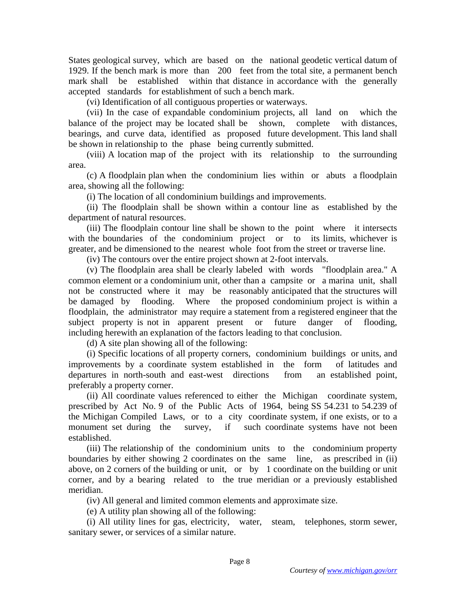States geological survey, which are based on the national geodetic vertical datum of 1929. If the bench mark is more than 200 feet from the total site, a permanent bench mark shall be established within that distance in accordance with the generally accepted standards for establishment of such a bench mark.

(vi) Identification of all contiguous properties or waterways.

 (vii) In the case of expandable condominium projects, all land on which the balance of the project may be located shall be shown, complete with distances, bearings, and curve data, identified as proposed future development. This land shall be shown in relationship to the phase being currently submitted.

 (viii) A location map of the project with its relationship to the surrounding area.

 (c) A floodplain plan when the condominium lies within or abuts a floodplain area, showing all the following:

(i) The location of all condominium buildings and improvements.

 (ii) The floodplain shall be shown within a contour line as established by the department of natural resources.

 (iii) The floodplain contour line shall be shown to the point where it intersects with the boundaries of the condominium project or to its limits, whichever is greater, and be dimensioned to the nearest whole foot from the street or traverse line.

(iv) The contours over the entire project shown at 2-foot intervals.

 (v) The floodplain area shall be clearly labeled with words "floodplain area." A common element or a condominium unit, other than a campsite or a marina unit, shall not be constructed where it may be reasonably anticipated that the structures will be damaged by flooding. Where the proposed condominium project is within a floodplain, the administrator may require a statement from a registered engineer that the subject property is not in apparent present or future danger of flooding, including herewith an explanation of the factors leading to that conclusion.

(d) A site plan showing all of the following:

 (i) Specific locations of all property corners, condominium buildings or units, and improvements by a coordinate system established in the form of latitudes and departures in north-south and east-west directions from an established point, preferably a property corner.

 (ii) All coordinate values referenced to either the Michigan coordinate system, prescribed by Act No. 9 of the Public Acts of 1964, being SS 54.231 to 54.239 of the Michigan Compiled Laws, or to a city coordinate system, if one exists, or to a monument set during the survey, if such coordinate systems have not been established.

 (iii) The relationship of the condominium units to the condominium property boundaries by either showing 2 coordinates on the same line, as prescribed in (ii) above, on 2 corners of the building or unit, or by 1 coordinate on the building or unit corner, and by a bearing related to the true meridian or a previously established meridian.

(iv) All general and limited common elements and approximate size.

(e) A utility plan showing all of the following:

 (i) All utility lines for gas, electricity, water, steam, telephones, storm sewer, sanitary sewer, or services of a similar nature.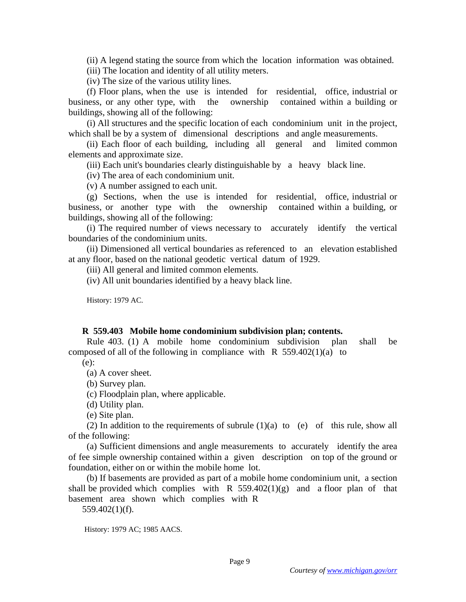(ii) A legend stating the source from which the location information was obtained.

(iii) The location and identity of all utility meters.

(iv) The size of the various utility lines.

 (f) Floor plans, when the use is intended for residential, office, industrial or business, or any other type, with the ownership contained within a building or buildings, showing all of the following:

 (i) All structures and the specific location of each condominium unit in the project, which shall be by a system of dimensional descriptions and angle measurements.

 (ii) Each floor of each building, including all general and limited common elements and approximate size.

(iii) Each unit's boundaries clearly distinguishable by a heavy black line.

(iv) The area of each condominium unit.

(v) A number assigned to each unit.

 (g) Sections, when the use is intended for residential, office, industrial or business, or another type with the ownership contained within a building, or buildings, showing all of the following:

 (i) The required number of views necessary to accurately identify the vertical boundaries of the condominium units.

 (ii) Dimensioned all vertical boundaries as referenced to an elevation established at any floor, based on the national geodetic vertical datum of 1929.

(iii) All general and limited common elements.

(iv) All unit boundaries identified by a heavy black line.

History: 1979 AC.

### **R 559.403 Mobile home condominium subdivision plan; contents.**

 Rule 403. (1) A mobile home condominium subdivision plan shall be composed of all of the following in compliance with  $R$  559.402(1)(a) to

(e):

(a) A cover sheet.

(b) Survey plan.

(c) Floodplain plan, where applicable.

(d) Utility plan.

(e) Site plan.

(2) In addition to the requirements of subrule  $(1)(a)$  to  $(e)$  of this rule, show all of the following:

 (a) Sufficient dimensions and angle measurements to accurately identify the area of fee simple ownership contained within a given description on top of the ground or foundation, either on or within the mobile home lot.

 (b) If basements are provided as part of a mobile home condominium unit, a section shall be provided which complies with R  $559.402(1)(g)$  and a floor plan of that basement area shown which complies with R

559.402(1)(f).

History: 1979 AC; 1985 AACS.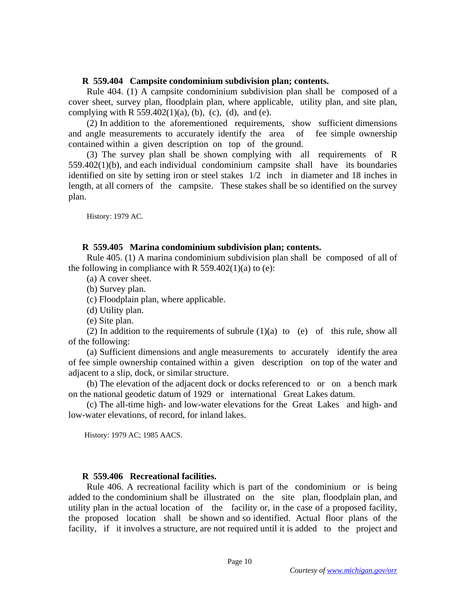### **R 559.404 Campsite condominium subdivision plan; contents.**

 Rule 404. (1) A campsite condominium subdivision plan shall be composed of a cover sheet, survey plan, floodplain plan, where applicable, utility plan, and site plan, complying with R  $559.402(1)(a)$ , (b), (c), (d), and (e).

 (2) In addition to the aforementioned requirements, show sufficient dimensions and angle measurements to accurately identify the area of fee simple ownership contained within a given description on top of the ground.

 (3) The survey plan shall be shown complying with all requirements of R 559.402(1)(b), and each individual condominium campsite shall have its boundaries identified on site by setting iron or steel stakes 1/2 inch in diameter and 18 inches in length, at all corners of the campsite. These stakes shall be so identified on the survey plan.

History: 1979 AC.

### **R 559.405 Marina condominium subdivision plan; contents.**

 Rule 405. (1) A marina condominium subdivision plan shall be composed of all of the following in compliance with R  $559.402(1)(a)$  to (e):

(a) A cover sheet.

(b) Survey plan.

(c) Floodplain plan, where applicable.

(d) Utility plan.

(e) Site plan.

(2) In addition to the requirements of subrule  $(1)(a)$  to (e) of this rule, show all of the following:

 (a) Sufficient dimensions and angle measurements to accurately identify the area of fee simple ownership contained within a given description on top of the water and adjacent to a slip, dock, or similar structure.

 (b) The elevation of the adjacent dock or docks referenced to or on a bench mark on the national geodetic datum of 1929 or international Great Lakes datum.

 (c) The all-time high- and low-water elevations for the Great Lakes and high- and low-water elevations, of record, for inland lakes.

History: 1979 AC; 1985 AACS.

# **R 559.406 Recreational facilities.**

 Rule 406. A recreational facility which is part of the condominium or is being added to the condominium shall be illustrated on the site plan, floodplain plan, and utility plan in the actual location of the facility or, in the case of a proposed facility, the proposed location shall be shown and so identified. Actual floor plans of the facility, if it involves a structure, are not required until it is added to the project and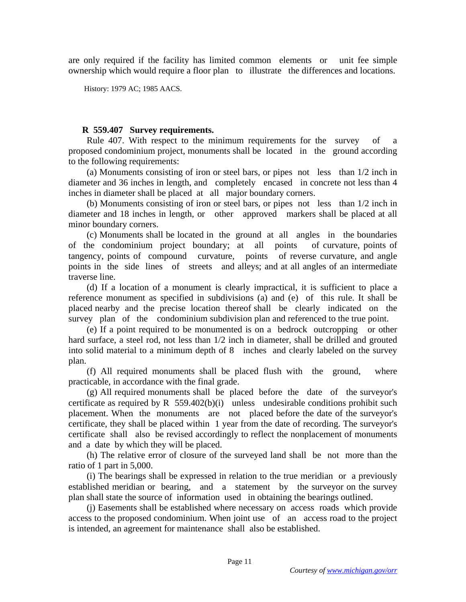are only required if the facility has limited common elements or unit fee simple ownership which would require a floor plan to illustrate the differences and locations.

History: 1979 AC; 1985 AACS.

# **R 559.407 Survey requirements.**

 Rule 407. With respect to the minimum requirements for the survey of a proposed condominium project, monuments shall be located in the ground according to the following requirements:

 (a) Monuments consisting of iron or steel bars, or pipes not less than 1/2 inch in diameter and 36 inches in length, and completely encased in concrete not less than 4 inches in diameter shall be placed at all major boundary corners.

 (b) Monuments consisting of iron or steel bars, or pipes not less than 1/2 inch in diameter and 18 inches in length, or other approved markers shall be placed at all minor boundary corners.

 (c) Monuments shall be located in the ground at all angles in the boundaries of the condominium project boundary; at all points of curvature, points of tangency, points of compound curvature, points of reverse curvature, and angle points in the side lines of streets and alleys; and at all angles of an intermediate traverse line.

 (d) If a location of a monument is clearly impractical, it is sufficient to place a reference monument as specified in subdivisions (a) and (e) of this rule. It shall be placed nearby and the precise location thereof shall be clearly indicated on the survey plan of the condominium subdivision plan and referenced to the true point.

 (e) If a point required to be monumented is on a bedrock outcropping or other hard surface, a steel rod, not less than 1/2 inch in diameter, shall be drilled and grouted into solid material to a minimum depth of 8 inches and clearly labeled on the survey plan.

 (f) All required monuments shall be placed flush with the ground, where practicable, in accordance with the final grade.

 (g) All required monuments shall be placed before the date of the surveyor's certificate as required by  $R$  559.402(b)(i) unless undesirable conditions prohibit such placement. When the monuments are not placed before the date of the surveyor's certificate, they shall be placed within 1 year from the date of recording. The surveyor's certificate shall also be revised accordingly to reflect the nonplacement of monuments and a date by which they will be placed.

 (h) The relative error of closure of the surveyed land shall be not more than the ratio of 1 part in 5,000.

 (i) The bearings shall be expressed in relation to the true meridian or a previously established meridian or bearing, and a statement by the surveyor on the survey plan shall state the source of information used in obtaining the bearings outlined.

 (j) Easements shall be established where necessary on access roads which provide access to the proposed condominium. When joint use of an access road to the project is intended, an agreement for maintenance shall also be established.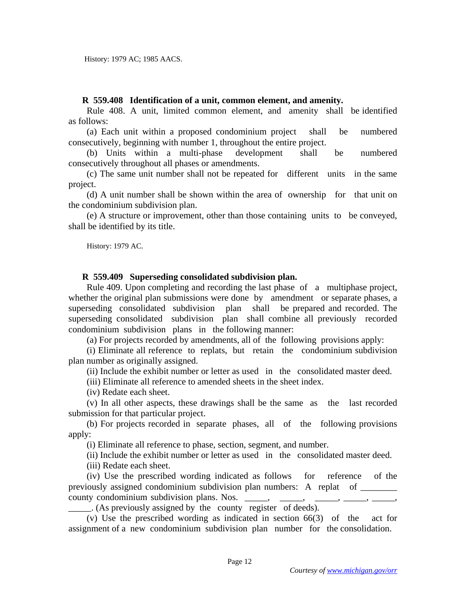## **R 559.408 Identification of a unit, common element, and amenity.**

 Rule 408. A unit, limited common element, and amenity shall be identified as follows:

 (a) Each unit within a proposed condominium project shall be numbered consecutively, beginning with number 1, throughout the entire project.

 (b) Units within a multi-phase development shall be numbered consecutively throughout all phases or amendments.

 (c) The same unit number shall not be repeated for different units in the same project.

 (d) A unit number shall be shown within the area of ownership for that unit on the condominium subdivision plan.

 (e) A structure or improvement, other than those containing units to be conveyed, shall be identified by its title.

History: 1979 AC.

### **R 559.409 Superseding consolidated subdivision plan.**

 Rule 409. Upon completing and recording the last phase of a multiphase project, whether the original plan submissions were done by amendment or separate phases, a superseding consolidated subdivision plan shall be prepared and recorded. The superseding consolidated subdivision plan shall combine all previously recorded condominium subdivision plans in the following manner:

(a) For projects recorded by amendments, all of the following provisions apply:

 (i) Eliminate all reference to replats, but retain the condominium subdivision plan number as originally assigned.

(ii) Include the exhibit number or letter as used in the consolidated master deed.

(iii) Eliminate all reference to amended sheets in the sheet index.

(iv) Redate each sheet.

 (v) In all other aspects, these drawings shall be the same as the last recorded submission for that particular project.

 (b) For projects recorded in separate phases, all of the following provisions apply:

(i) Eliminate all reference to phase, section, segment, and number.

(ii) Include the exhibit number or letter as used in the consolidated master deed.

(iii) Redate each sheet.

 (iv) Use the prescribed wording indicated as follows for reference of the previously assigned condominium subdivision plan numbers: A replat of \_\_\_\_\_\_\_\_ county condominium subdivision plans. Nos.  $\qquad \qquad$ ,  $\qquad \qquad$ ,  $\qquad$ ,  $\qquad$ ,  $\qquad$ ,  $\qquad$ ,  $\qquad$ ,  $\qquad$ ,  $\qquad$ ,  $\qquad$ ,  $\qquad$ ,  $\qquad$ ,  $\qquad$ ,  $\qquad$ ,  $\qquad$ ,  $\qquad$ ,  $\qquad$ ,  $\qquad$ ,  $\qquad$ ,  $\qquad$ ,  $\qquad$ ,  $\qquad$ ,  $\qquad$ ,  $\qquad$ ,  $\qquad$ 

\_\_\_\_\_. (As previously assigned by the county register of deeds).

 (v) Use the prescribed wording as indicated in section 66(3) of the act for assignment of a new condominium subdivision plan number for the consolidation.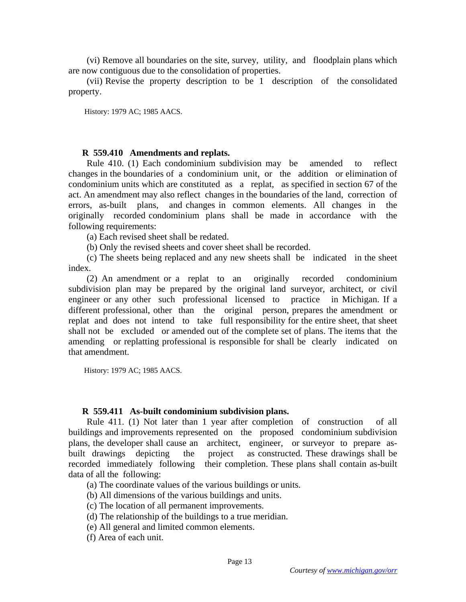(vi) Remove all boundaries on the site, survey, utility, and floodplain plans which are now contiguous due to the consolidation of properties.

 (vii) Revise the property description to be 1 description of the consolidated property.

History: 1979 AC; 1985 AACS.

#### **R 559.410 Amendments and replats.**

 Rule 410. (1) Each condominium subdivision may be amended to reflect changes in the boundaries of a condominium unit, or the addition or elimination of condominium units which are constituted as a replat, as specified in section 67 of the act. An amendment may also reflect changes in the boundaries of the land, correction of errors, as-built plans, and changes in common elements. All changes in the originally recorded condominium plans shall be made in accordance with the following requirements:

(a) Each revised sheet shall be redated.

(b) Only the revised sheets and cover sheet shall be recorded.

 (c) The sheets being replaced and any new sheets shall be indicated in the sheet index.

 (2) An amendment or a replat to an originally recorded condominium subdivision plan may be prepared by the original land surveyor, architect, or civil engineer or any other such professional licensed to practice in Michigan. If a different professional, other than the original person, prepares the amendment or replat and does not intend to take full responsibility for the entire sheet, that sheet shall not be excluded or amended out of the complete set of plans. The items that the amending or replatting professional is responsible for shall be clearly indicated on that amendment.

History: 1979 AC; 1985 AACS.

### **R 559.411 As-built condominium subdivision plans.**

 Rule 411. (1) Not later than 1 year after completion of construction of all buildings and improvements represented on the proposed condominium subdivision plans, the developer shall cause an architect, engineer, or surveyor to prepare asbuilt drawings depicting the project as constructed. These drawings shall be recorded immediately following their completion. These plans shall contain as-built data of all the following:

(a) The coordinate values of the various buildings or units.

(b) All dimensions of the various buildings and units.

(c) The location of all permanent improvements.

(d) The relationship of the buildings to a true meridian.

(e) All general and limited common elements.

(f) Area of each unit.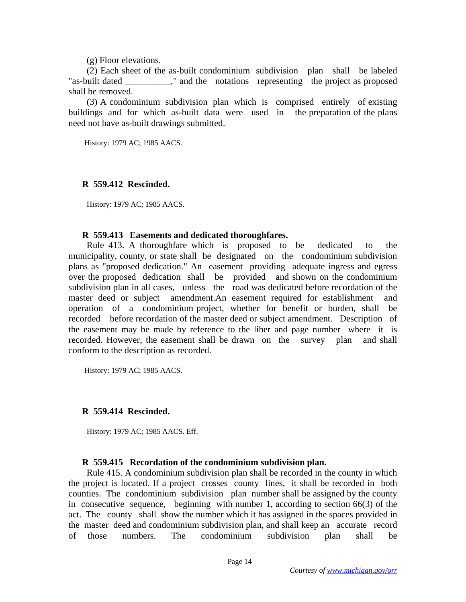(g) Floor elevations.

 (2) Each sheet of the as-built condominium subdivision plan shall be labeled "as-built dated \_\_\_\_\_\_\_\_\_\_," and the notations representing the project as proposed shall be removed.

 (3) A condominium subdivision plan which is comprised entirely of existing buildings and for which as-built data were used in the preparation of the plans need not have as-built drawings submitted.

History: 1979 AC; 1985 AACS.

# **R 559.412 Rescinded.**

History: 1979 AC; 1985 AACS.

### **R 559.413 Easements and dedicated thoroughfares.**

 Rule 413. A thoroughfare which is proposed to be dedicated to the municipality, county, or state shall be designated on the condominium subdivision plans as "proposed dedication." An easement providing adequate ingress and egress over the proposed dedication shall be provided and shown on the condominium subdivision plan in all cases, unless the road was dedicated before recordation of the master deed or subject amendment.An easement required for establishment and operation of a condominium project, whether for benefit or burden, shall be recorded before recordation of the master deed or subject amendment. Description of the easement may be made by reference to the liber and page number where it is recorded. However, the easement shall be drawn on the survey plan and shall conform to the description as recorded.

History: 1979 AC; 1985 AACS.

### **R 559.414 Rescinded.**

History: 1979 AC; 1985 AACS. Eff.

### **R 559.415 Recordation of the condominium subdivision plan.**

 Rule 415. A condominium subdivision plan shall be recorded in the county in which the project is located. If a project crosses county lines, it shall be recorded in both counties. The condominium subdivision plan number shall be assigned by the county in consecutive sequence, beginning with number 1, according to section 66(3) of the act. The county shall show the number which it has assigned in the spaces provided in the master deed and condominium subdivision plan, and shall keep an accurate record of those numbers. The condominium subdivision plan shall be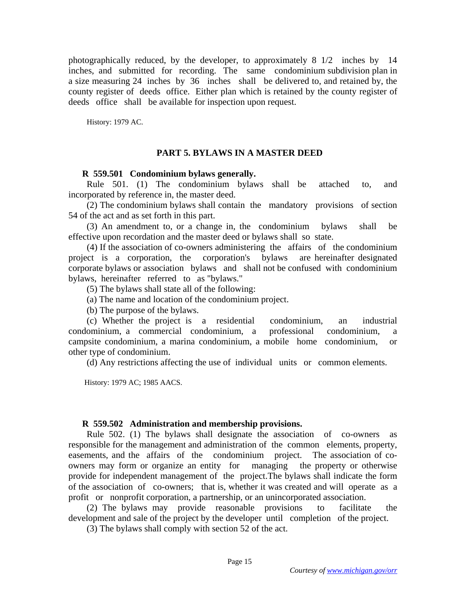photographically reduced, by the developer, to approximately 8 1/2 inches by 14 inches, and submitted for recording. The same condominium subdivision plan in a size measuring 24 inches by 36 inches shall be delivered to, and retained by, the county register of deeds office. Either plan which is retained by the county register of deeds office shall be available for inspection upon request.

History: 1979 AC.

## **PART 5. BYLAWS IN A MASTER DEED**

#### **R 559.501 Condominium bylaws generally.**

 Rule 501. (1) The condominium bylaws shall be attached to, and incorporated by reference in, the master deed.

 (2) The condominium bylaws shall contain the mandatory provisions of section 54 of the act and as set forth in this part.

 (3) An amendment to, or a change in, the condominium bylaws shall be effective upon recordation and the master deed or bylaws shall so state.

 (4) If the association of co-owners administering the affairs of the condominium project is a corporation, the corporation's bylaws are hereinafter designated corporate bylaws or association bylaws and shall not be confused with condominium bylaws, hereinafter referred to as "bylaws."

(5) The bylaws shall state all of the following:

(a) The name and location of the condominium project.

(b) The purpose of the bylaws.

 (c) Whether the project is a residential condominium, an industrial condominium, a commercial condominium, a professional condominium, a campsite condominium, a marina condominium, a mobile home condominium, or other type of condominium.

(d) Any restrictions affecting the use of individual units or common elements.

History: 1979 AC; 1985 AACS.

#### **R 559.502 Administration and membership provisions.**

 Rule 502. (1) The bylaws shall designate the association of co-owners as responsible for the management and administration of the common elements, property, easements, and the affairs of the condominium project. The association of coowners may form or organize an entity for managing the property or otherwise provide for independent management of the project.The bylaws shall indicate the form of the association of co-owners; that is, whether it was created and will operate as a profit or nonprofit corporation, a partnership, or an unincorporated association.

 (2) The bylaws may provide reasonable provisions to facilitate the development and sale of the project by the developer until completion of the project.

(3) The bylaws shall comply with section 52 of the act.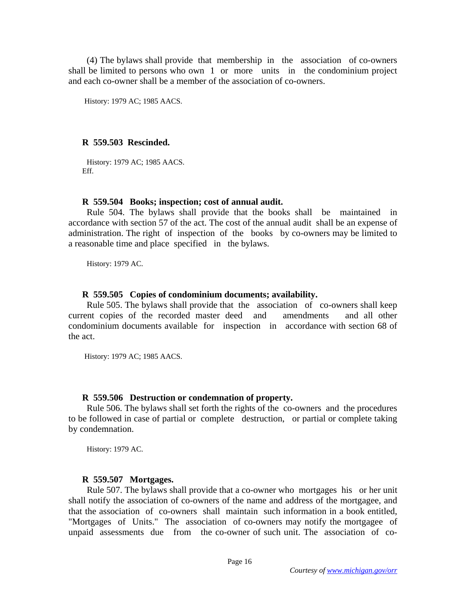(4) The bylaws shall provide that membership in the association of co-owners shall be limited to persons who own 1 or more units in the condominium project and each co-owner shall be a member of the association of co-owners.

History: 1979 AC; 1985 AACS.

#### **R 559.503 Rescinded.**

 History: 1979 AC; 1985 AACS. Eff.

#### **R 559.504 Books; inspection; cost of annual audit.**

 Rule 504. The bylaws shall provide that the books shall be maintained in accordance with section 57 of the act. The cost of the annual audit shall be an expense of administration. The right of inspection of the books by co-owners may be limited to a reasonable time and place specified in the bylaws.

History: 1979 AC.

#### **R 559.505 Copies of condominium documents; availability.**

 Rule 505. The bylaws shall provide that the association of co-owners shall keep current copies of the recorded master deed and amendments and all other condominium documents available for inspection in accordance with section 68 of the act.

History: 1979 AC; 1985 AACS.

#### **R 559.506 Destruction or condemnation of property.**

 Rule 506. The bylaws shall set forth the rights of the co-owners and the procedures to be followed in case of partial or complete destruction, or partial or complete taking by condemnation.

History: 1979 AC.

#### **R 559.507 Mortgages.**

 Rule 507. The bylaws shall provide that a co-owner who mortgages his or her unit shall notify the association of co-owners of the name and address of the mortgagee, and that the association of co-owners shall maintain such information in a book entitled, "Mortgages of Units." The association of co-owners may notify the mortgagee of unpaid assessments due from the co-owner of such unit. The association of co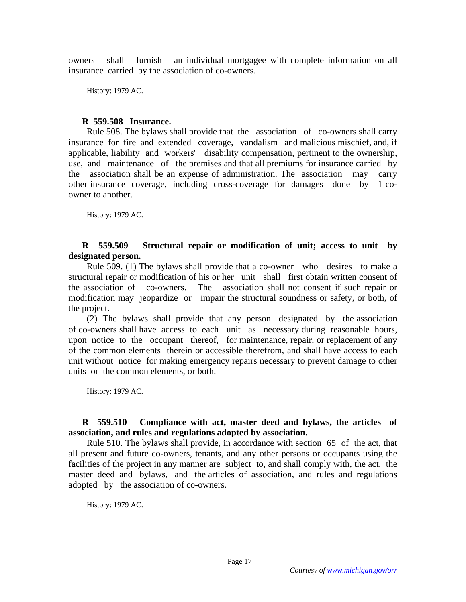owners shall furnish an individual mortgagee with complete information on all insurance carried by the association of co-owners.

History: 1979 AC.

# **R 559.508 Insurance.**

 Rule 508. The bylaws shall provide that the association of co-owners shall carry insurance for fire and extended coverage, vandalism and malicious mischief, and, if applicable, liability and workers' disability compensation, pertinent to the ownership, use, and maintenance of the premises and that all premiums for insurance carried by the association shall be an expense of administration. The association may carry other insurance coverage, including cross-coverage for damages done by 1 coowner to another.

History: 1979 AC.

# **R 559.509 Structural repair or modification of unit; access to unit by designated person.**

 Rule 509. (1) The bylaws shall provide that a co-owner who desires to make a structural repair or modification of his or her unit shall first obtain written consent of the association of co-owners. The association shall not consent if such repair or modification may jeopardize or impair the structural soundness or safety, or both, of the project.

 (2) The bylaws shall provide that any person designated by the association of co-owners shall have access to each unit as necessary during reasonable hours, upon notice to the occupant thereof, for maintenance, repair, or replacement of any of the common elements therein or accessible therefrom, and shall have access to each unit without notice for making emergency repairs necessary to prevent damage to other units or the common elements, or both.

History: 1979 AC.

# **R 559.510 Compliance with act, master deed and bylaws, the articles of association, and rules and regulations adopted by association.**

 Rule 510. The bylaws shall provide, in accordance with section 65 of the act, that all present and future co-owners, tenants, and any other persons or occupants using the facilities of the project in any manner are subject to, and shall comply with, the act, the master deed and bylaws, and the articles of association, and rules and regulations adopted by the association of co-owners.

History: 1979 AC.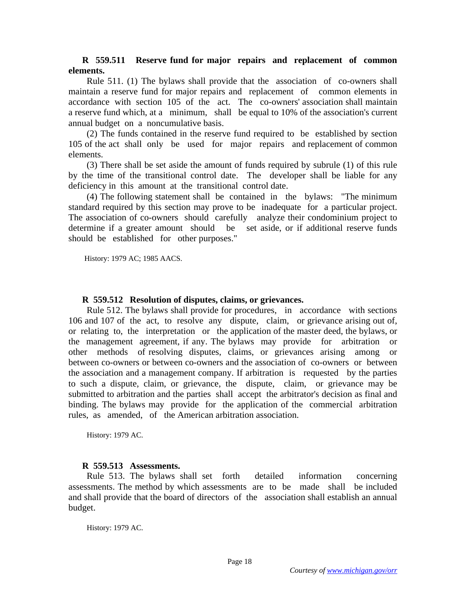# **R 559.511 Reserve fund for major repairs and replacement of common elements.**

 Rule 511. (1) The bylaws shall provide that the association of co-owners shall maintain a reserve fund for major repairs and replacement of common elements in accordance with section 105 of the act. The co-owners' association shall maintain a reserve fund which, at a minimum, shall be equal to 10% of the association's current annual budget on a noncumulative basis.

 (2) The funds contained in the reserve fund required to be established by section 105 of the act shall only be used for major repairs and replacement of common elements.

 (3) There shall be set aside the amount of funds required by subrule (1) of this rule by the time of the transitional control date. The developer shall be liable for any deficiency in this amount at the transitional control date.

 (4) The following statement shall be contained in the bylaws: "The minimum standard required by this section may prove to be inadequate for a particular project. The association of co-owners should carefully analyze their condominium project to determine if a greater amount should be set aside, or if additional reserve funds should be established for other purposes."

History: 1979 AC; 1985 AACS.

### **R 559.512 Resolution of disputes, claims, or grievances.**

 Rule 512. The bylaws shall provide for procedures, in accordance with sections 106 and 107 of the act, to resolve any dispute, claim, or grievance arising out of, or relating to, the interpretation or the application of the master deed, the bylaws, or the management agreement, if any. The bylaws may provide for arbitration or other methods of resolving disputes, claims, or grievances arising among or between co-owners or between co-owners and the association of co-owners or between the association and a management company. If arbitration is requested by the parties to such a dispute, claim, or grievance, the dispute, claim, or grievance may be submitted to arbitration and the parties shall accept the arbitrator's decision as final and binding. The bylaws may provide for the application of the commercial arbitration rules, as amended, of the American arbitration association.

History: 1979 AC.

### **R 559.513 Assessments.**

 Rule 513. The bylaws shall set forth detailed information concerning assessments. The method by which assessments are to be made shall be included and shall provide that the board of directors of the association shall establish an annual budget.

History: 1979 AC.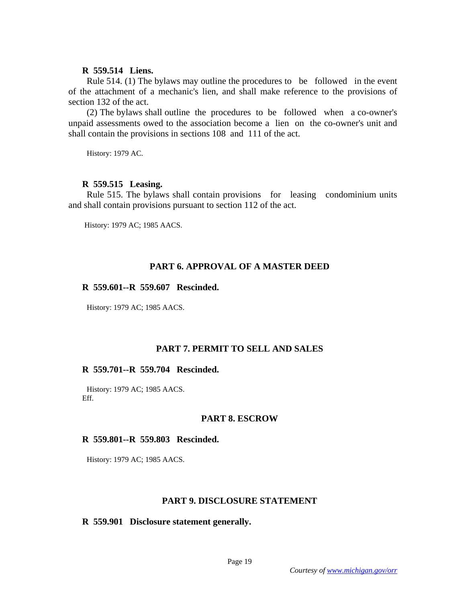#### **R 559.514 Liens.**

 Rule 514. (1) The bylaws may outline the procedures to be followed in the event of the attachment of a mechanic's lien, and shall make reference to the provisions of section 132 of the act.

 (2) The bylaws shall outline the procedures to be followed when a co-owner's unpaid assessments owed to the association become a lien on the co-owner's unit and shall contain the provisions in sections 108 and 111 of the act.

History: 1979 AC.

### **R 559.515 Leasing.**

 Rule 515. The bylaws shall contain provisions for leasing condominium units and shall contain provisions pursuant to section 112 of the act.

History: 1979 AC; 1985 AACS.

### **PART 6. APPROVAL OF A MASTER DEED**

# **R 559.601--R 559.607 Rescinded.**

History: 1979 AC; 1985 AACS.

# **PART 7. PERMIT TO SELL AND SALES**

### **R 559.701--R 559.704 Rescinded.**

 History: 1979 AC; 1985 AACS. Eff.

### **PART 8. ESCROW**

### **R 559.801--R 559.803 Rescinded.**

History: 1979 AC; 1985 AACS.

#### **PART 9. DISCLOSURE STATEMENT**

#### **R 559.901 Disclosure statement generally.**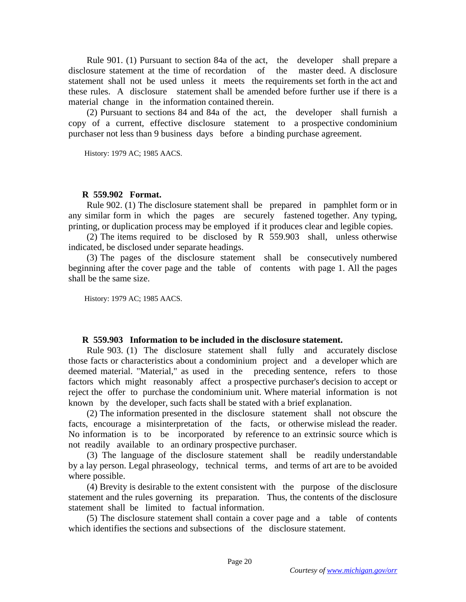Rule 901. (1) Pursuant to section 84a of the act, the developer shall prepare a disclosure statement at the time of recordation of the master deed. A disclosure statement shall not be used unless it meets the requirements set forth in the act and these rules. A disclosure statement shall be amended before further use if there is a material change in the information contained therein.

 (2) Pursuant to sections 84 and 84a of the act, the developer shall furnish a copy of a current, effective disclosure statement to a prospective condominium purchaser not less than 9 business days before a binding purchase agreement.

History: 1979 AC; 1985 AACS.

#### **R 559.902 Format.**

 Rule 902. (1) The disclosure statement shall be prepared in pamphlet form or in any similar form in which the pages are securely fastened together. Any typing, printing, or duplication process may be employed if it produces clear and legible copies.

 (2) The items required to be disclosed by R 559.903 shall, unless otherwise indicated, be disclosed under separate headings.

 (3) The pages of the disclosure statement shall be consecutively numbered beginning after the cover page and the table of contents with page 1. All the pages shall be the same size.

History: 1979 AC; 1985 AACS.

### **R 559.903 Information to be included in the disclosure statement.**

 Rule 903. (1) The disclosure statement shall fully and accurately disclose those facts or characteristics about a condominium project and a developer which are deemed material. "Material," as used in the preceding sentence, refers to those factors which might reasonably affect a prospective purchaser's decision to accept or reject the offer to purchase the condominium unit. Where material information is not known by the developer, such facts shall be stated with a brief explanation.

 (2) The information presented in the disclosure statement shall not obscure the facts, encourage a misinterpretation of the facts, or otherwise mislead the reader. No information is to be incorporated by reference to an extrinsic source which is not readily available to an ordinary prospective purchaser.

 (3) The language of the disclosure statement shall be readily understandable by a lay person. Legal phraseology, technical terms, and terms of art are to be avoided where possible.

 (4) Brevity is desirable to the extent consistent with the purpose of the disclosure statement and the rules governing its preparation. Thus, the contents of the disclosure statement shall be limited to factual information.

 (5) The disclosure statement shall contain a cover page and a table of contents which identifies the sections and subsections of the disclosure statement.